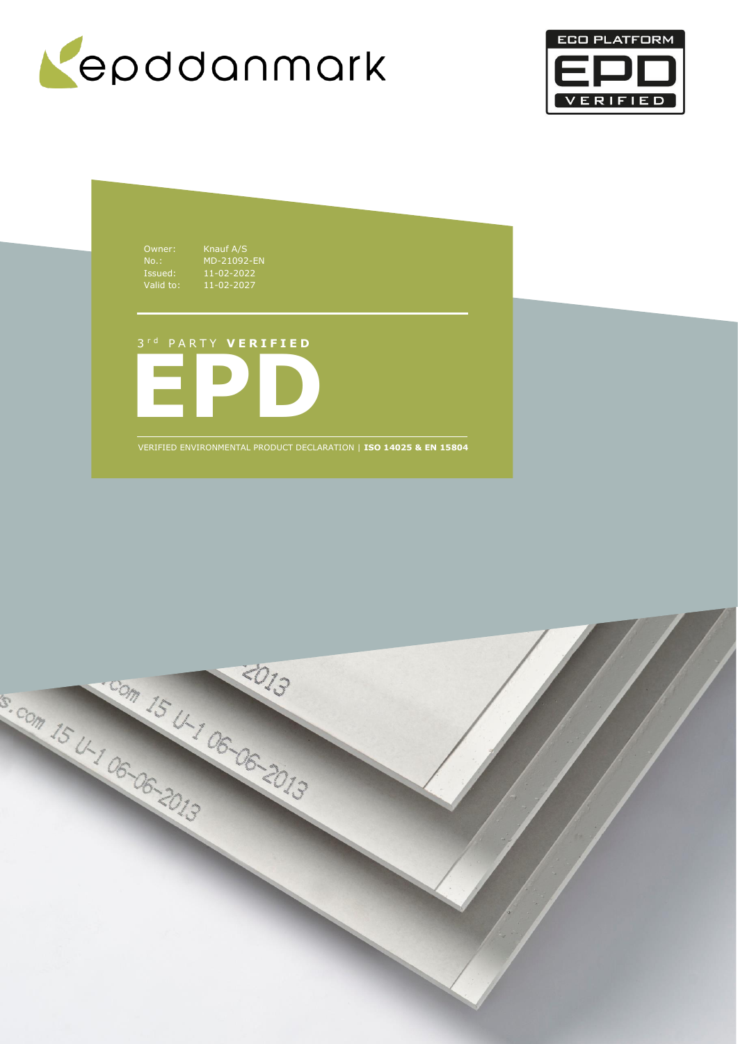



Owner: Knauf A/S<br>No.: MD-21092<br>Issued: 11-02-202<br>Valid to: 11-02-202 No.: MD-21092-EN Issued: 11-02-2022 Valid to: 11-02-2027

# 3 r d P A R T Y **V E R I F I E D**



VERIFIED ENVIRONMENTAL PRODUCT DECLARATION | **ISO 14025 & EN 15804**

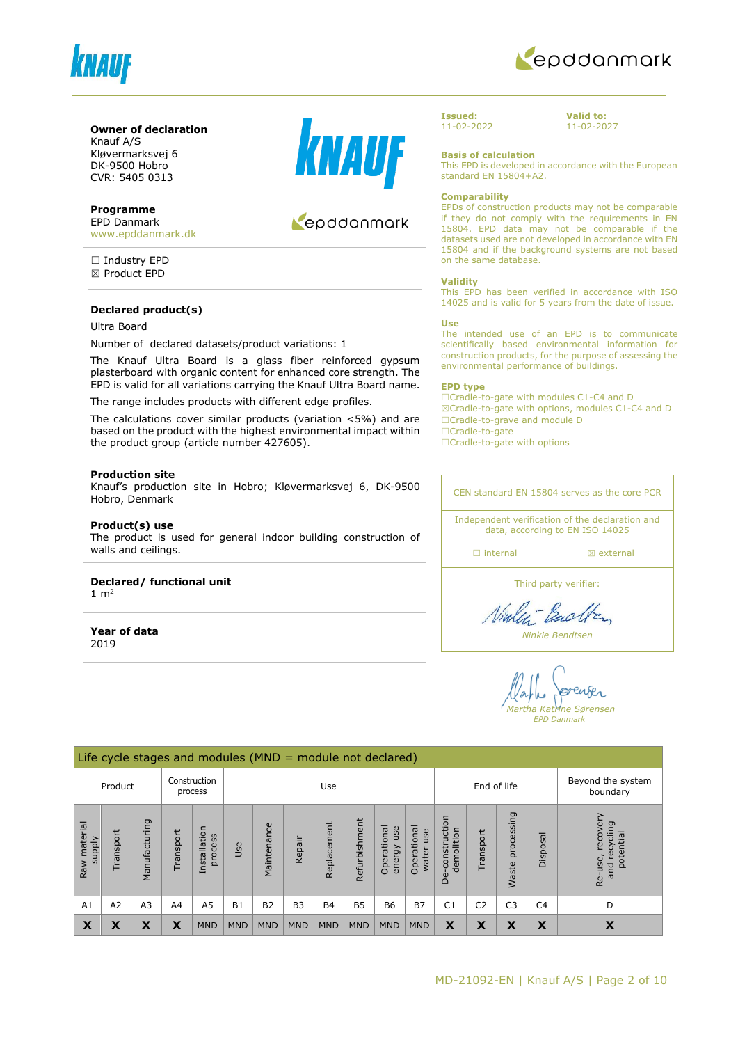



#### **Owner of declaration**

Knauf A/S Kløvermarksvej 6 DK-9500 Hobro CVR: 5405 0313

#### **Programme**

EPD Danmark [www.epddanmark.dk](http://www.epddanmark.dk/)

□ Industry EPD ☒ Product EPD

#### **Declared product(s)**

Ultra Board

Number of declared datasets/product variations: 1

The Knauf Ultra Board is a glass fiber reinforced gypsum plasterboard with organic content for enhanced core strength. The EPD is valid for all variations carrying the Knauf Ultra Board name.

The range includes products with different edge profiles.

The calculations cover similar products (variation <5%) and are based on the product with the highest environmental impact within the product group (article number 427605).

#### **Production site**

Knauf's production site in Hobro; Kløvermarksvej 6, DK-9500 Hobro, Denmark

#### **Product(s) use**

The product is used for general indoor building construction of walls and ceilings.

#### **Declared/ functional unit**

1  $m<sup>2</sup>$ 

**Year of data** 2019



### Repodanmark

**Issued:** 11-02-2022 **Valid to:** 11-02-2027

**Basis of calculation**

This EPD is developed in accordance with the European standard EN 15804+A2.

#### **Comparability**

EPDs of construction products may not be comparable if they do not comply with the requirements in EN 15804. EPD data may not be comparable if the datasets used are not developed in accordance with EN 15804 and if the background systems are not based on the same database.

#### **Validity**

This EPD has been verified in accordance with ISO 14025 and is valid for 5 years from the date of issue.

#### **Use**

The intended use of an EPD is to communicate scientifically based environmental information for construction products, for the purpose of assessing the environmental performance of buildings.

#### **EPD type**

☐Cradle-to-gate with modules C1-C4 and D ☒Cradle-to-gate with options, modules C1-C4 and D ☐Cradle-to-grave and module D ☐Cradle-to-gate

□Cradle-to-gate with options

CEN standard EN 15804 serves as the core PCR Independent verification of the declaration and

data, according to EN ISO 14025

□ internal **a** external

Third party verifier:

Vialent Back

*Ninkie Bendtsen*

enser *Martha Katrine Sørensen*

*EPD Danmark*

|                                  | Life cycle stages and modules $(MND = module not declared)$ |                |             |                         |            |             |                               |             |               |                              |                             |                                 |                |                            |                |                                                      |
|----------------------------------|-------------------------------------------------------------|----------------|-------------|-------------------------|------------|-------------|-------------------------------|-------------|---------------|------------------------------|-----------------------------|---------------------------------|----------------|----------------------------|----------------|------------------------------------------------------|
|                                  | Construction<br>Product<br>Use<br>process                   |                | End of life |                         |            |             | Beyond the system<br>boundary |             |               |                              |                             |                                 |                |                            |                |                                                      |
| material<br><b>Alddns</b><br>Raw | Transport                                                   | Manufacturing  | Transport   | Installation<br>process | Jse        | Maintenance | Repair                        | Replacement | Refurbishment | Operational<br>use<br>energy | Operational<br>use<br>water | construction<br>demolition<br>ف | Transport      | processing<br><b>Waste</b> | Disposal       | recovery<br>recycling<br>potential<br>Re-use,<br>and |
| A1                               | A2                                                          | A <sub>3</sub> | A4          | A <sub>5</sub>          | <b>B1</b>  | <b>B2</b>   | <b>B3</b>                     | <b>B4</b>   | <b>B5</b>     | <b>B6</b>                    | <b>B7</b>                   | C <sub>1</sub>                  | C <sub>2</sub> | C <sub>3</sub>             | C <sub>4</sub> | D                                                    |
| X                                | X                                                           | X              | X           | <b>MND</b>              | <b>MND</b> | <b>MND</b>  | <b>MND</b>                    | <b>MND</b>  | <b>MND</b>    | <b>MND</b>                   | <b>MND</b>                  | X                               | X              | X                          | X              | X                                                    |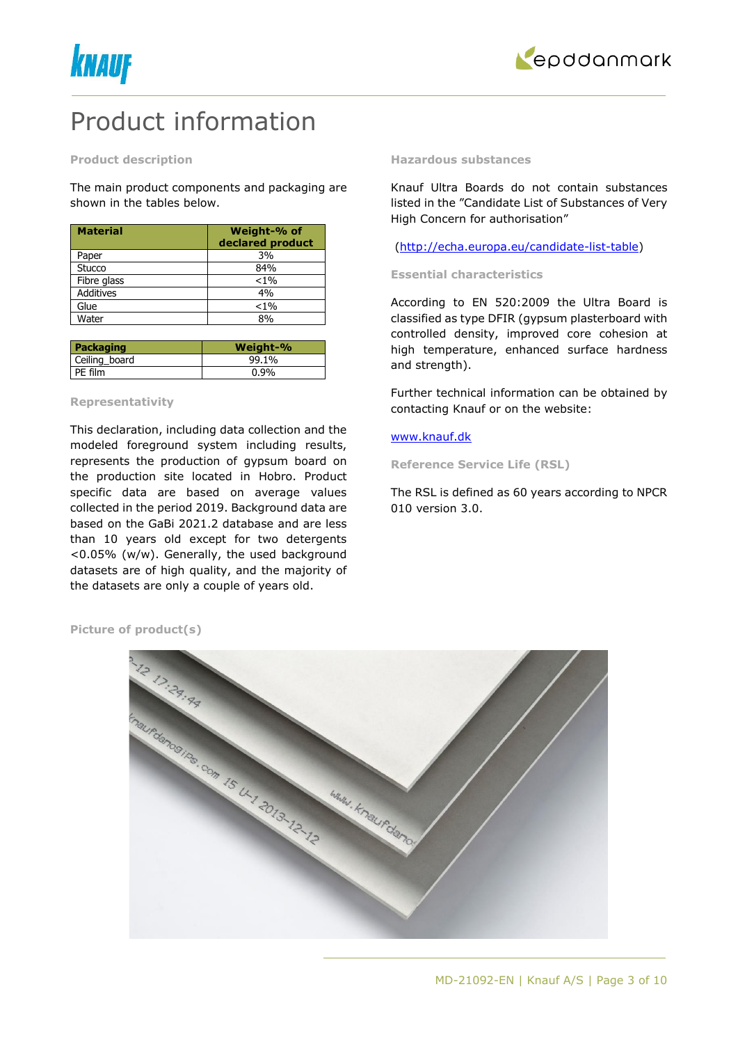



### Product information

#### **Product description**

The main product components and packaging are shown in the tables below.

| <b>Material</b>  | Weight-% of<br>declared product |
|------------------|---------------------------------|
| Paper            | 3%                              |
| Stucco           | 84%                             |
| Fibre glass      | $< 1\%$                         |
| <b>Additives</b> | 4%                              |
| Glue             | $< 1\%$                         |
| Water            | 8%                              |

| Packaging     | Weight-% |
|---------------|----------|
| Ceiling board | 99.1%    |
| PE film       | $0.9\%$  |

#### **Representativity**

This declaration, including data collection and the modeled foreground system including results, represents the production of gypsum board on the production site located in Hobro. Product specific data are based on average values collected in the period 2019. Background data are based on the GaBi 2021.2 database and are less than 10 years old except for two detergents <0.05% (w/w). Generally, the used background datasets are of high quality, and the majority of the datasets are only a couple of years old.

#### **Hazardous substances**

Knauf Ultra Boards do not contain substances listed in the "Candidate List of Substances of Very High Concern for authorisation"

#### [\(http://echa.europa.eu/candidate-list-table\)](http://echa.europa.eu/candidate-list-table)

#### **Essential characteristics**

According to EN 520:2009 the Ultra Board is classified as type DFIR (gypsum plasterboard with controlled density, improved core cohesion at high temperature, enhanced surface hardness and strength).

Further technical information can be obtained by contacting Knauf or on the website:

#### [www.knauf.dk](http://www.knauf.dk/)

**Reference Service Life (RSL)**

The RSL is defined as 60 years according to NPCR 010 version 3.0.



**Picture of product(s)**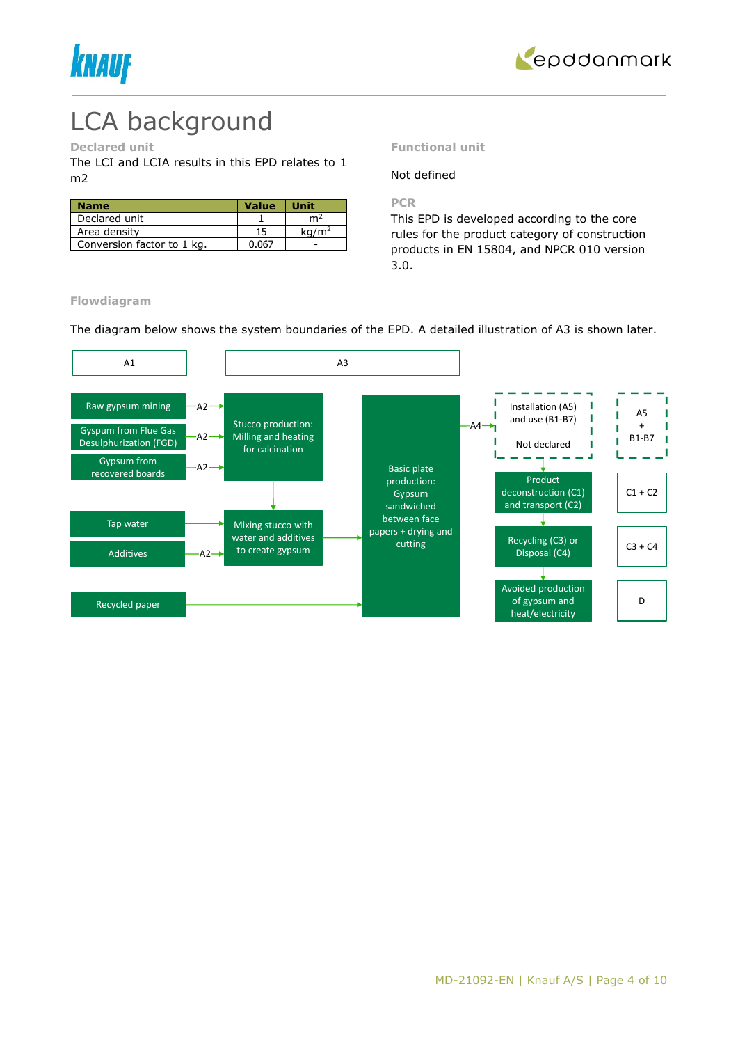



## LCA background

#### **Declared unit**

The LCI and LCIA results in this EPD relates to 1 m2

| <b>Name</b>                | <b>Value</b> | Unit              |
|----------------------------|--------------|-------------------|
| Declared unit              |              | m <sup>2</sup>    |
| Area density               | 15           | ka/m <sup>2</sup> |
| Conversion factor to 1 kg. | በ በ67        |                   |

#### **Functional unit**

#### Not defined

**PCR**

This EPD is developed according to the core rules for the product category of construction products in EN 15804, and NPCR 010 version 3.0.

**Flowdiagram**

The diagram below shows the system boundaries of the EPD. A detailed illustration of A3 is shown later.

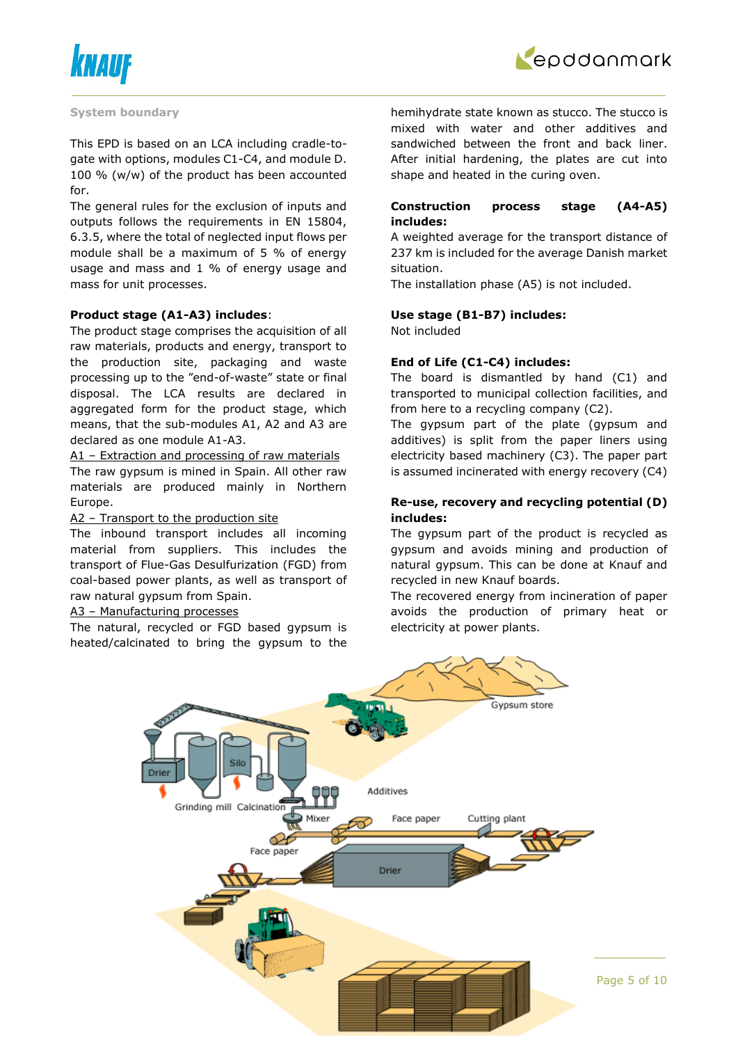



#### **System boundary**

This EPD is based on an LCA including cradle-togate with options, modules C1-C4, and module D. 100 % (w/w) of the product has been accounted for.

The general rules for the exclusion of inputs and outputs follows the requirements in EN 15804, 6.3.5, where the total of neglected input flows per module shall be a maximum of 5 % of energy usage and mass and 1 % of energy usage and mass for unit processes.

#### **Product stage (A1-A3) includes**:

The product stage comprises the acquisition of all raw materials, products and energy, transport to the production site, packaging and waste processing up to the "end-of-waste" state or final disposal. The LCA results are declared in aggregated form for the product stage, which means, that the sub-modules A1, A2 and A3 are declared as one module A1-A3.

A1 – Extraction and processing of raw materials The raw gypsum is mined in Spain. All other raw materials are produced mainly in Northern Europe.

#### A2 – Transport to the production site

The inbound transport includes all incoming material from suppliers. This includes the transport of Flue-Gas Desulfurization (FGD) from coal-based power plants, as well as transport of raw natural gypsum from Spain.

#### A3 – Manufacturing processes

The natural, recycled or FGD based gypsum is heated/calcinated to bring the gypsum to the hemihydrate state known as stucco. The stucco is mixed with water and other additives and sandwiched between the front and back liner. After initial hardening, the plates are cut into shape and heated in the curing oven.

#### **Construction process stage (A4-A5) includes:**

A weighted average for the transport distance of 237 km is included for the average Danish market situation.

The installation phase (A5) is not included.

#### **Use stage (B1-B7) includes:**

Not included

#### **End of Life (C1-C4) includes:**

The board is dismantled by hand (C1) and transported to municipal collection facilities, and from here to a recycling company (C2).

The gypsum part of the plate (gypsum and additives) is split from the paper liners using electricity based machinery (C3). The paper part is assumed incinerated with energy recovery (C4)

#### **Re-use, recovery and recycling potential (D) includes:**

The gypsum part of the product is recycled as gypsum and avoids mining and production of natural gypsum. This can be done at Knauf and recycled in new Knauf boards.

The recovered energy from incineration of paper avoids the production of primary heat or electricity at power plants.

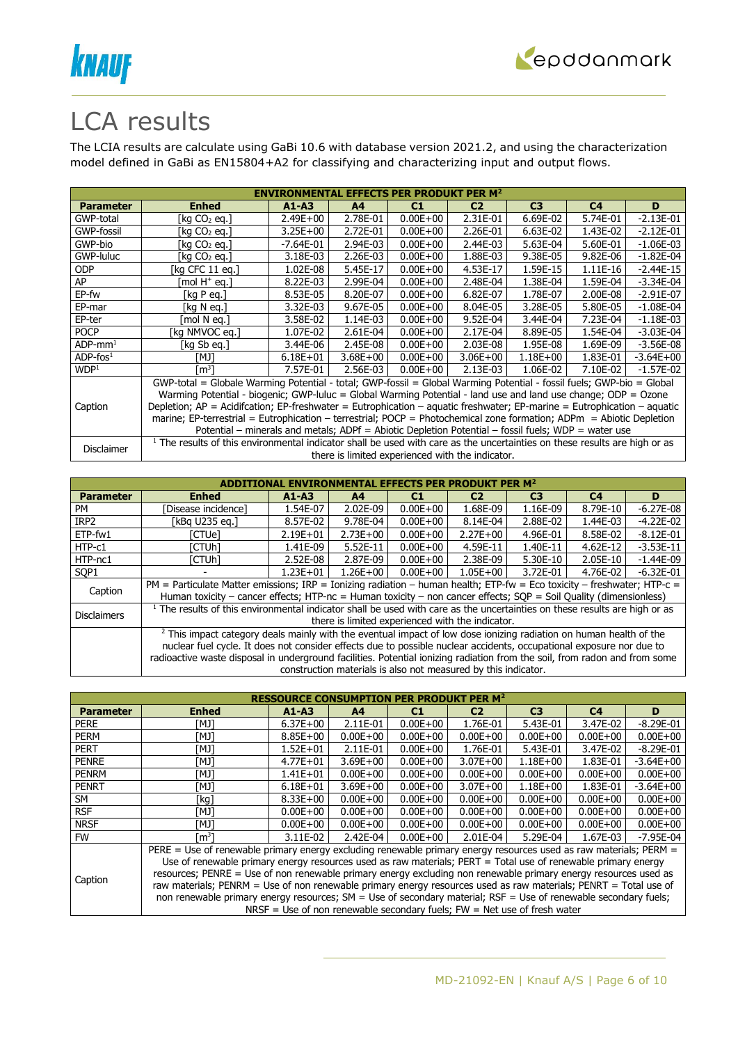



### LCA results

The LCIA results are calculate using GaBi 10.6 with database version 2021.2, and using the characterization model defined in GaBi as EN15804+A2 for classifying and characterizing input and output flows.

| <b>ENVIRONMENTAL EFFECTS PER PRODUKT PER M<sup>2</sup></b> |                                                                                                                                       |              |                |              |                                                  |                |                |               |  |  |
|------------------------------------------------------------|---------------------------------------------------------------------------------------------------------------------------------------|--------------|----------------|--------------|--------------------------------------------------|----------------|----------------|---------------|--|--|
| <b>Parameter</b>                                           | <b>Enhed</b>                                                                                                                          | $A1 - A3$    | A <sup>4</sup> | C1           | C <sub>2</sub>                                   | C <sub>3</sub> | C <sub>4</sub> | D             |  |  |
| GWP-total                                                  | [kg CO2 eg.]                                                                                                                          | $2.49E + 00$ | 2.78E-01       | $0.00E + 00$ | 2.31E-01                                         | 6.69E-02       | 5.74E-01       | $-2.13E-01$   |  |  |
| GWP-fossil                                                 | [kg CO2 eg.]                                                                                                                          | $3.25E + 00$ | 2.72E-01       | $0.00E + 00$ | 2.26E-01                                         | 6.63E-02       | 1.43E-02       | $-2.12E-01$   |  |  |
| GWP-bio                                                    | [kg CO2 eg.]                                                                                                                          | $-7.64E-01$  | 2.94E-03       | $0.00E + 00$ | 2.44E-03                                         | 5.63E-04       | 5.60E-01       | $-1.06E-03$   |  |  |
| GWP-luluc                                                  | [kg CO2 eg.]                                                                                                                          | 3.18E-03     | 2.26E-03       | $0.00E + 00$ | 1.88E-03                                         | 9.38E-05       | 9.82E-06       | $-1.82E-04$   |  |  |
| <b>ODP</b>                                                 | [kg CFC 11 eg.]                                                                                                                       | 1.02E-08     | 5.45E-17       | $0.00E + 00$ | 4.53E-17                                         | 1.59E-15       | 1.11E-16       | $-2.44E-15$   |  |  |
| AP                                                         | mol H <sup>+</sup> eq.1                                                                                                               | 8.22E-03     | 2.99E-04       | $0.00E + 00$ | 2.48E-04                                         | 1.38E-04       | 1.59E-04       | $-3.34E-04$   |  |  |
| EP-fw                                                      | [kg P eg.]                                                                                                                            | 8.53E-05     | 8.20E-07       | $0.00E + 00$ | $6.82E-07$                                       | 1.78E-07       | 2.00E-08       | $-2.91E-07$   |  |  |
| EP-mar                                                     | [kg N eg.]                                                                                                                            | 3.32E-03     | 9.67E-05       | $0.00E + 00$ | 8.04E-05                                         | 3.28E-05       | 5.80E-05       | $-1.08E-04$   |  |  |
| EP-ter                                                     | [mol N ea.]                                                                                                                           | 3.58E-02     | 1.14E-03       | $0.00E + 00$ | 9.52E-04                                         | 3.44E-04       | 7.23E-04       | $-1.18E-03$   |  |  |
| <b>POCP</b>                                                | [kg NMVOC eg.]                                                                                                                        | 1.07E-02     | 2.61E-04       | $0.00E + 00$ | 2.17E-04                                         | 8.89E-05       | 1.54E-04       | $-3.03E-04$   |  |  |
| $ADP$ -mm <sup>1</sup>                                     | [kg Sb eg.]                                                                                                                           | 3.44E-06     | 2.45E-08       | $0.00E + 00$ | 2.03E-08                                         | 1.95E-08       | 1.69E-09       | $-3.56E-08$   |  |  |
| $ADP$ -fos $1$                                             | TMJ1                                                                                                                                  | $6.18E + 01$ | $3.68E + 00$   | $0.00E + 00$ | $3.06E + 00$                                     | $1.18E + 00$   | 1.83E-01       | $-3.64E + 00$ |  |  |
| WDP <sup>1</sup>                                           | [m $^3$ ]                                                                                                                             | 7.57E-01     | 2.56E-03       | $0.00E + 00$ | 2.13E-03                                         | 1.06E-02       | 7.10E-02       | $-1.57E-02$   |  |  |
|                                                            | GWP-total = Globale Warming Potential - total; GWP-fossil = Global Warming Potential - fossil fuels; GWP-bio = Global                 |              |                |              |                                                  |                |                |               |  |  |
|                                                            | Warming Potential - biogenic; GWP-luluc = Global Warming Potential - land use and land use change; ODP = Ozone                        |              |                |              |                                                  |                |                |               |  |  |
| Caption                                                    | Depletion; $AP =$ Acidifcation; EP-freshwater = Eutrophication – aquatic freshwater; EP-marine = Eutrophication – aquatic             |              |                |              |                                                  |                |                |               |  |  |
|                                                            | marine; EP-terrestrial = Eutrophication - terrestrial; POCP = Photochemical zone formation; ADPm = Abiotic Depletion                  |              |                |              |                                                  |                |                |               |  |  |
|                                                            | Potential – minerals and metals; ADPf = Abiotic Depletion Potential – fossil fuels; WDP = water use                                   |              |                |              |                                                  |                |                |               |  |  |
|                                                            | <sup>1</sup> The results of this environmental indicator shall be used with care as the uncertainties on these results are high or as |              |                |              |                                                  |                |                |               |  |  |
| Disclaimer                                                 |                                                                                                                                       |              |                |              | there is limited experienced with the indicator. |                |                |               |  |  |

|                    | ITAL EFFECTS PER PRODUKT PER M $^{\rm 2}$                                                                                                                                                                                                                                                                                                                                                                                               |              |                |              |                                                                |                |                |               |
|--------------------|-----------------------------------------------------------------------------------------------------------------------------------------------------------------------------------------------------------------------------------------------------------------------------------------------------------------------------------------------------------------------------------------------------------------------------------------|--------------|----------------|--------------|----------------------------------------------------------------|----------------|----------------|---------------|
| <b>Parameter</b>   | <b>Enhed</b>                                                                                                                                                                                                                                                                                                                                                                                                                            | $A1 - A3$    | A <sub>4</sub> | C1           | C <sub>2</sub>                                                 | C <sub>3</sub> | C <sub>4</sub> | D             |
| PM                 | Disease incidence1                                                                                                                                                                                                                                                                                                                                                                                                                      | 1.54E-07     | 2.02E-09       | $0.00E + 00$ | 1.68E-09                                                       | 1.16E-09       | 8.79E-10       | $-6.27E-08$   |
| IRP <sub>2</sub>   | [kBq U235 eq.]                                                                                                                                                                                                                                                                                                                                                                                                                          | 8.57E-02     | 9.78E-04       | $0.00E + 00$ | 8.14E-04                                                       | 2.88E-02       | 1.44E-03       | $-4.22E-02$   |
| ETP-fw1            | [CTUe]                                                                                                                                                                                                                                                                                                                                                                                                                                  | $2.19E + 01$ | $2.73E + 00$   | $0.00E + 00$ | $2.27E+00$                                                     | 4.96E-01       | 8.58E-02       | $-8.12E - 01$ |
| HTP-c1             | [CTUh]                                                                                                                                                                                                                                                                                                                                                                                                                                  | 1.41E-09     | 5.52E-11       | $0.00E + 00$ | 4.59E-11                                                       | 1.40E-11       | 4.62E-12       | $-3.53E-11$   |
| HTP-nc1            | [CTUh]                                                                                                                                                                                                                                                                                                                                                                                                                                  | 2.52E-08     | 2.87E-09       | $0.00E + 00$ | 2.38E-09                                                       | 5.30E-10       | 2.05E-10       | $-1.44E-09$   |
| SOP <sub>1</sub>   |                                                                                                                                                                                                                                                                                                                                                                                                                                         | $1.23E + 01$ | $1.26E + 00$   | $0.00E + 00$ | $1.05E + 00$                                                   | 3.72E-01       | 4.76E-02       | $-6.32E-01$   |
| Caption            | PM = Particulate Matter emissions; IRP = Ionizing radiation – human health; ETP-fw = Eco toxicity – freshwater; HTP-c =<br>Human toxicity – cancer effects; HTP-nc = Human toxicity – non cancer effects; $SOP =$ Soil Quality (dimensionless)                                                                                                                                                                                          |              |                |              |                                                                |                |                |               |
| <b>Disclaimers</b> | <sup>1</sup> The results of this environmental indicator shall be used with care as the uncertainties on these results are high or as                                                                                                                                                                                                                                                                                                   |              |                |              |                                                                |                |                |               |
|                    | there is limited experienced with the indicator.<br><sup>2</sup> This impact category deals mainly with the eventual impact of low dose ionizing radiation on human health of the<br>nuclear fuel cycle. It does not consider effects due to possible nuclear accidents, occupational exposure nor due to<br>radioactive waste disposal in underground facilities. Potential ionizing radiation from the soil, from radon and from some |              |                |              |                                                                |                |                |               |
|                    |                                                                                                                                                                                                                                                                                                                                                                                                                                         |              |                |              | construction materials is also not measured by this indicator. |                |                |               |

| <b>RESSOURCE CONSUMPTION PER PRODUKT PER M<sup>2</sup></b> |                                                                                                                   |                                                                                                                 |                |              |                                                                            |                |              |               |  |  |  |
|------------------------------------------------------------|-------------------------------------------------------------------------------------------------------------------|-----------------------------------------------------------------------------------------------------------------|----------------|--------------|----------------------------------------------------------------------------|----------------|--------------|---------------|--|--|--|
| <b>Parameter</b>                                           | <b>Enhed</b>                                                                                                      | $A1 - A3$                                                                                                       | A <sub>4</sub> | C1           | C <sub>2</sub>                                                             | C <sub>3</sub> | C4           | D             |  |  |  |
| <b>PERE</b>                                                | ונאז                                                                                                              | $6.37E + 00$                                                                                                    | 2.11E-01       | $0.00E + 00$ | 1.76E-01                                                                   | 5.43E-01       | 3.47E-02     | $-8.29E - 01$ |  |  |  |
| <b>PERM</b>                                                | ונאז                                                                                                              | $8.85E + 00$                                                                                                    | $0.00E + 00$   | $0.00E + 00$ | $0.00E + 00$                                                               | $0.00E + 00$   | $0.00E + 00$ | $0.00E + 00$  |  |  |  |
| <b>PERT</b>                                                | [MJ]                                                                                                              | $1.52E + 01$                                                                                                    | 2.11E-01       | $0.00E + 00$ | 1.76E-01                                                                   | 5.43E-01       | 3.47E-02     | $-8.29E - 01$ |  |  |  |
| <b>PENRE</b>                                               | ונאז                                                                                                              | $4.77E + 01$                                                                                                    | $3.69E + 00$   | $0.00E + 00$ | $3.07E + 00$                                                               | $1.18E + 00$   | 1.83E-01     | $-3.64E + 00$ |  |  |  |
| <b>PENRM</b>                                               | TMJ1                                                                                                              | $1.41E + 01$                                                                                                    | $0.00E + 00$   | $0.00E + 00$ | $0.00E + 00$                                                               | $0.00E + 00$   | $0.00E + 00$ | $0.00E + 00$  |  |  |  |
| <b>PENRT</b>                                               | [MJ]                                                                                                              | $6.18E + 01$                                                                                                    | $3.69E + 00$   | $0.00E + 00$ | $3.07E + 00$                                                               | $1.18E + 00$   | 1.83E-01     | $-3.64E + 00$ |  |  |  |
| SM                                                         | 「kg]                                                                                                              | $8.33E + 00$                                                                                                    | $0.00E + 00$   | $0.00E + 00$ | $0.00E + 00$                                                               | $0.00E + 00$   | $0.00E + 00$ | $0.00E + 00$  |  |  |  |
| <b>RSF</b>                                                 | [MJ]                                                                                                              | $0.00E + 00$                                                                                                    | $0.00E + 00$   | $0.00E + 00$ | $0.00E + 00$                                                               | $0.00E + 00$   | $0.00E + 00$ | $0.00E + 00$  |  |  |  |
| <b>NRSF</b>                                                | [MJ]                                                                                                              | $0.00E + 00$                                                                                                    | $0.00E + 00$   | $0.00E + 00$ | $0.00E + 00$                                                               | $0.00E + 00$   | $0.00E + 00$ | $0.00E + 00$  |  |  |  |
| <b>FW</b>                                                  | m <sup>3</sup> 1                                                                                                  | 3.11E-02                                                                                                        | 2.42E-04       | $0.00E + 00$ | 2.01E-04                                                                   | 5.29E-04       | 1.67E-03     | $-7.95E-04$   |  |  |  |
|                                                            | PERE = Use of renewable primary energy excluding renewable primary energy resources used as raw materials; PERM = |                                                                                                                 |                |              |                                                                            |                |              |               |  |  |  |
|                                                            | Use of renewable primary energy resources used as raw materials; PERT = Total use of renewable primary energy     |                                                                                                                 |                |              |                                                                            |                |              |               |  |  |  |
|                                                            |                                                                                                                   | resources; PENRE = Use of non renewable primary energy excluding non renewable primary energy resources used as |                |              |                                                                            |                |              |               |  |  |  |
| Caption                                                    | raw materials; PENRM = Use of non renewable primary energy resources used as raw materials; PENRT = Total use of  |                                                                                                                 |                |              |                                                                            |                |              |               |  |  |  |
|                                                            | non renewable primary energy resources; SM = Use of secondary material; RSF = Use of renewable secondary fuels;   |                                                                                                                 |                |              |                                                                            |                |              |               |  |  |  |
|                                                            |                                                                                                                   |                                                                                                                 |                |              | NRSF = Use of non renewable secondary fuels; $FW = Net$ use of fresh water |                |              |               |  |  |  |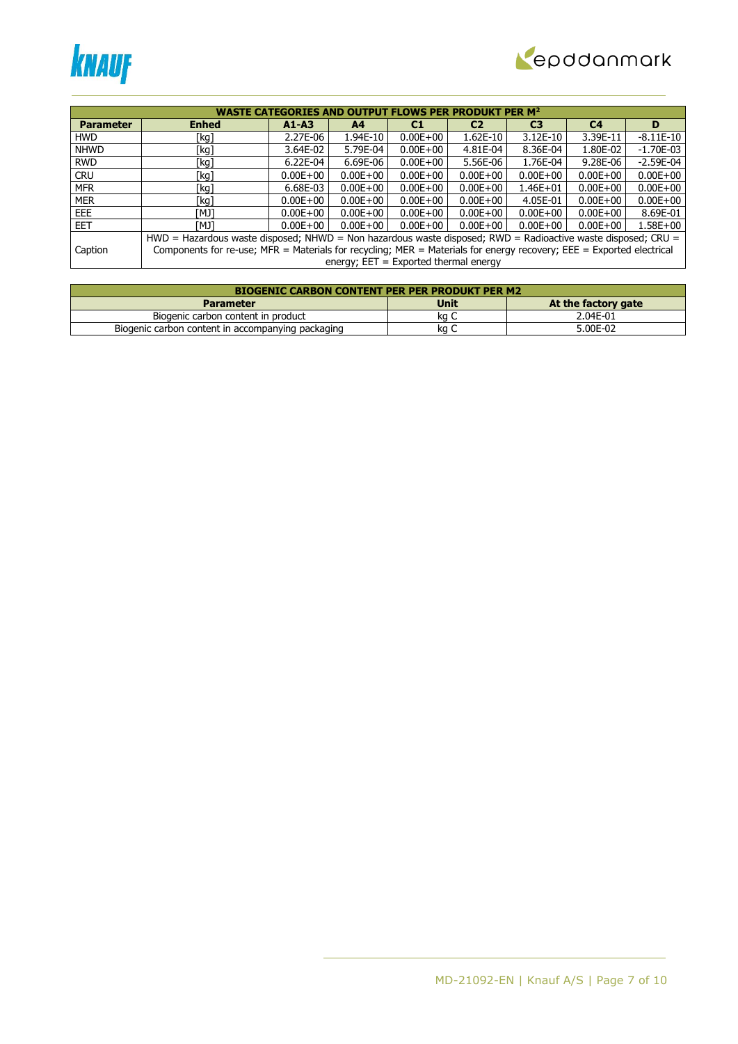



|                  | <b>WASTE CATEGORIES AND OUTPUT FLOWS PER PRODUKT PER M<sup>2</sup></b>                                               |              |                                         |              |                |                |                |              |  |
|------------------|----------------------------------------------------------------------------------------------------------------------|--------------|-----------------------------------------|--------------|----------------|----------------|----------------|--------------|--|
| <b>Parameter</b> | <b>Enhed</b>                                                                                                         | $A1 - A3$    | A <sub>4</sub>                          | C1           | C <sub>2</sub> | C <sub>3</sub> | C <sub>4</sub> | D            |  |
| <b>HWD</b>       | [kg]                                                                                                                 | 2.27E-06     | 1.94E-10                                | $0.00E + 00$ | $1.62E-10$     | 3.12E-10       | 3.39E-11       | $-8.11E-10$  |  |
| <b>NHWD</b>      | [kg]                                                                                                                 | 3.64E-02     | 5.79E-04                                | $0.00E + 00$ | 4.81E-04       | 8.36E-04       | 1.80E-02       | $-1.70E-03$  |  |
| <b>RWD</b>       | [kg]                                                                                                                 | $6.22E-04$   | 6.69E-06                                | $0.00E + 00$ | 5.56E-06       | 1.76E-04       | 9.28E-06       | $-2.59E-04$  |  |
| <b>CRU</b>       | [kg]                                                                                                                 | $0.00E + 00$ | $0.00E + 00$                            | $0.00E + 00$ | $0.00E + 00$   | $0.00E + 00$   | $0.00E + 00$   | $0.00E + 00$ |  |
| <b>MFR</b>       | [kg]                                                                                                                 | 6.68E-03     | $0.00E + 00$                            | $0.00E + 00$ | $0.00E + 00$   | $1.46E + 01$   | $0.00E + 00$   | $0.00E + 00$ |  |
| <b>MER</b>       | [kg]                                                                                                                 | $0.00E + 00$ | $0.00E + 00$                            | $0.00E + 00$ | $0.00E + 00$   | 4.05E-01       | $0.00E + 00$   | $0.00E + 00$ |  |
| EEE              | ונאז                                                                                                                 | $0.00E + 00$ | $0.00E + 00$                            | $0.00E + 00$ | $0.00E + 00$   | $0.00E + 00$   | $0.00E + 00$   | 8.69E-01     |  |
| <b>EET</b>       | ונאז                                                                                                                 | $0.00E + 00$ | $0.00E + 00$                            | $0.00E + 00$ | $0.00E + 00$   | $0.00E + 00$   | $0.00E + 00$   | $1.58E + 00$ |  |
|                  | HWD = Hazardous waste disposed; NHWD = Non hazardous waste disposed; RWD = Radioactive waste disposed; CRU =         |              |                                         |              |                |                |                |              |  |
| Caption          | Components for re-use; MFR = Materials for recycling; MER = Materials for energy recovery; EEE = Exported electrical |              |                                         |              |                |                |                |              |  |
|                  |                                                                                                                      |              | energy; $EET = Exported thermal energy$ |              |                |                |                |              |  |

| <b>BIOGENIC CARBON CONTENT PER PER PRODUKT PER M2</b> |      |                     |  |  |  |  |  |  |
|-------------------------------------------------------|------|---------------------|--|--|--|--|--|--|
| <b>Parameter</b>                                      | Unit | At the factory gate |  |  |  |  |  |  |
| Biogenic carbon content in product                    | ka c | 2.04E-01            |  |  |  |  |  |  |
| Biogenic carbon content in accompanying packaging     | κa   | 5.00E-02            |  |  |  |  |  |  |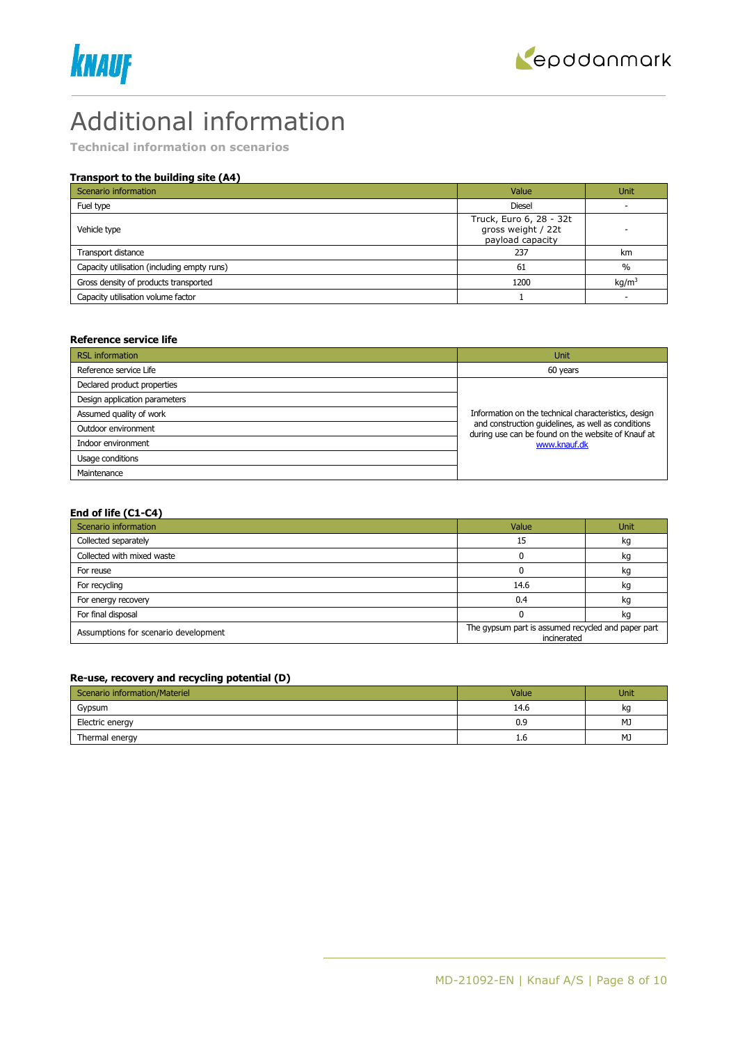



### Additional information

**Technical information on scenarios**

#### **Transport to the building site (A4)**

| Scenario information                        | Value                                                             | <b>Unit</b>       |
|---------------------------------------------|-------------------------------------------------------------------|-------------------|
| Fuel type                                   | <b>Diesel</b>                                                     |                   |
| Vehicle type                                | Truck, Euro 6, 28 - 32t<br>gross weight / 22t<br>payload capacity |                   |
| Transport distance                          | 237                                                               | km                |
| Capacity utilisation (including empty runs) | 61                                                                | $\frac{0}{0}$     |
| Gross density of products transported       | 1200                                                              | kq/m <sup>3</sup> |
| Capacity utilisation volume factor          |                                                                   |                   |

#### **Reference service life**

| <b>RSL</b> information        | Unit                                                                                                     |
|-------------------------------|----------------------------------------------------------------------------------------------------------|
| Reference service Life        | 60 years                                                                                                 |
| Declared product properties   |                                                                                                          |
| Design application parameters |                                                                                                          |
| Assumed quality of work       | Information on the technical characteristics, design                                                     |
| Outdoor environment           | and construction quidelines, as well as conditions<br>during use can be found on the website of Knauf at |
| Indoor environment            | www.knauf.dk                                                                                             |
| Usage conditions              |                                                                                                          |
| Maintenance                   |                                                                                                          |

#### **End of life (C1-C4)**

| Scenario information                 | Value                                                             | <b>Unit</b> |  |
|--------------------------------------|-------------------------------------------------------------------|-------------|--|
| Collected separately                 | 15                                                                | kg          |  |
| Collected with mixed waste           |                                                                   | kg          |  |
| For reuse                            |                                                                   | kg          |  |
| For recycling                        | 14.6                                                              | kg          |  |
| For energy recovery                  | 0.4                                                               | kg          |  |
| For final disposal                   |                                                                   | kg          |  |
| Assumptions for scenario development | The gypsum part is assumed recycled and paper part<br>incinerated |             |  |

#### **Re-use, recovery and recycling potential (D)**

| Scenario information/Materiel | Value | <b>Unit</b> |
|-------------------------------|-------|-------------|
| Gypsum                        | 14.6  | kq          |
| Electric energy               | 0.9   | MJ          |
| Thermal energy                | 1.6   | MJ          |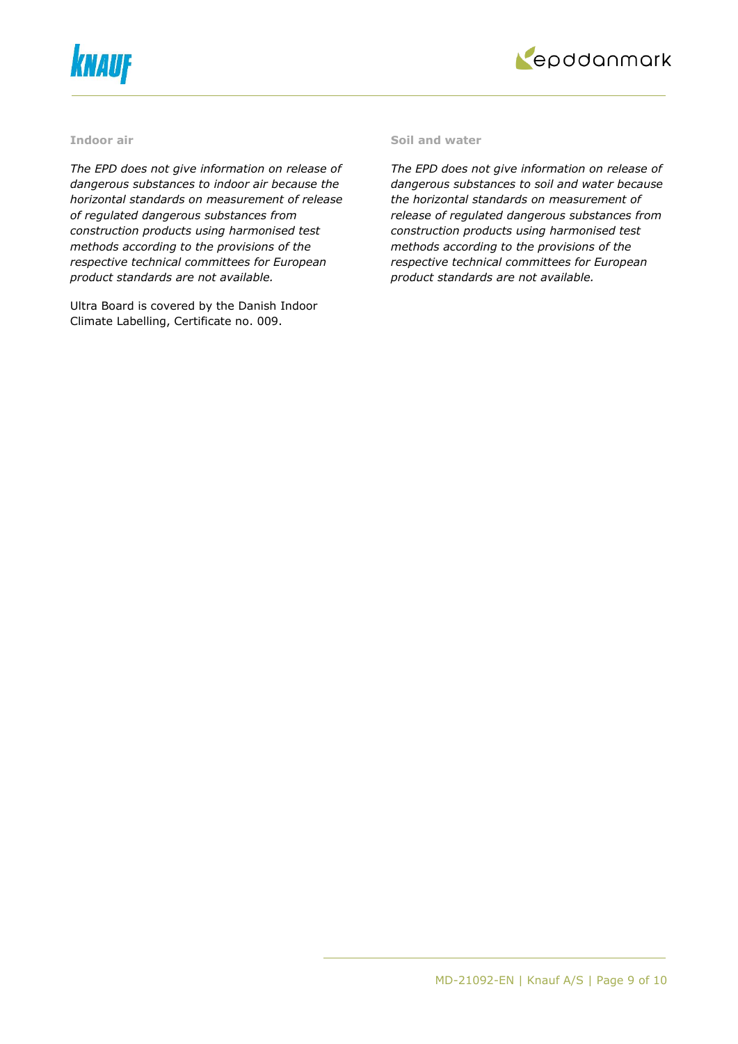



#### **Indoor air**

*The EPD does not give information on release of dangerous substances to indoor air because the horizontal standards on measurement of release of regulated dangerous substances from construction products using harmonised test methods according to the provisions of the respective technical committees for European product standards are not available.*

Ultra Board is covered by the Danish Indoor Climate Labelling, Certificate no. 009.

#### **Soil and water**

*The EPD does not give information on release of dangerous substances to soil and water because the horizontal standards on measurement of release of regulated dangerous substances from construction products using harmonised test methods according to the provisions of the respective technical committees for European product standards are not available.*